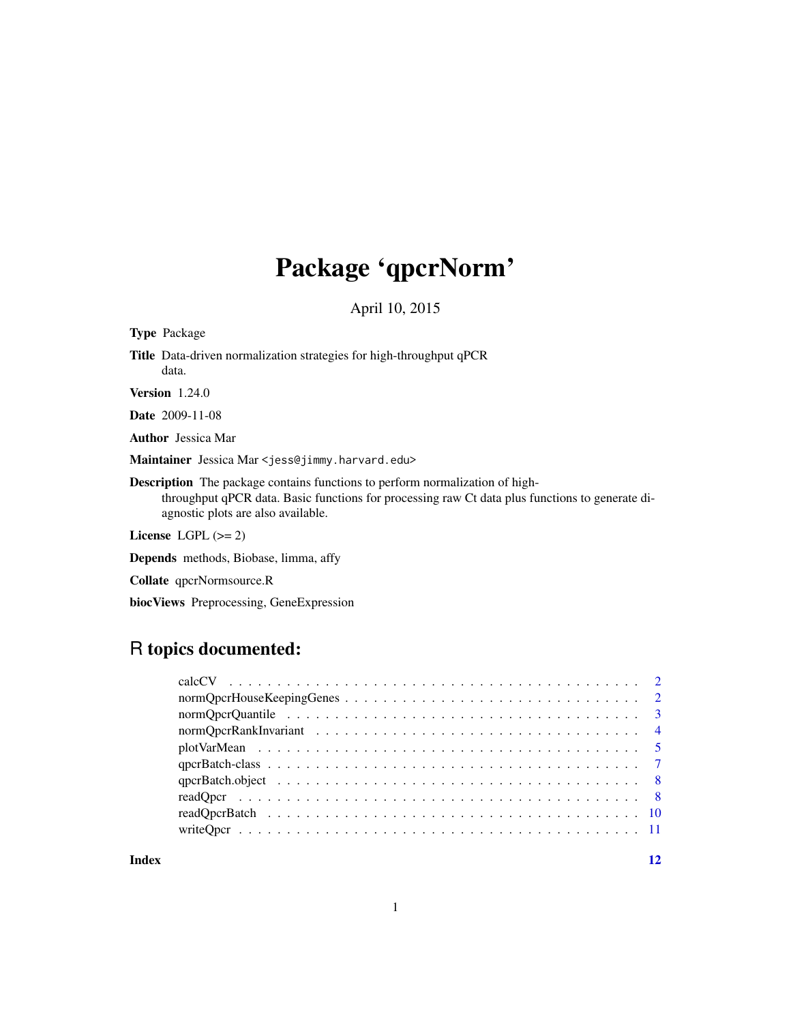## Package 'qpcrNorm'

April 10, 2015

<span id="page-0-0"></span>

| <b>Type Package</b>                                                                                                                                                                                                          |
|------------------------------------------------------------------------------------------------------------------------------------------------------------------------------------------------------------------------------|
| <b>Title</b> Data-driven normalization strategies for high-throughput qPCR<br>data.                                                                                                                                          |
| Version $1.24.0$                                                                                                                                                                                                             |
| <b>Date</b> 2009-11-08                                                                                                                                                                                                       |
| <b>Author</b> Jessica Mar                                                                                                                                                                                                    |
| Maintainer Jessica Mar <jess@jimmy.harvard.edu></jess@jimmy.harvard.edu>                                                                                                                                                     |
| <b>Description</b> The package contains functions to perform normalization of high-<br>throughput qPCR data. Basic functions for processing raw Ct data plus functions to generate di-<br>agnostic plots are also available. |
| License LGPL $(>= 2)$                                                                                                                                                                                                        |
| <b>Depends</b> methods, Biobase, limma, affy                                                                                                                                                                                 |

Collate qpcrNormsource.R

biocViews Preprocessing, GeneExpression

## R topics documented:

#### **Index** [12](#page-11-0)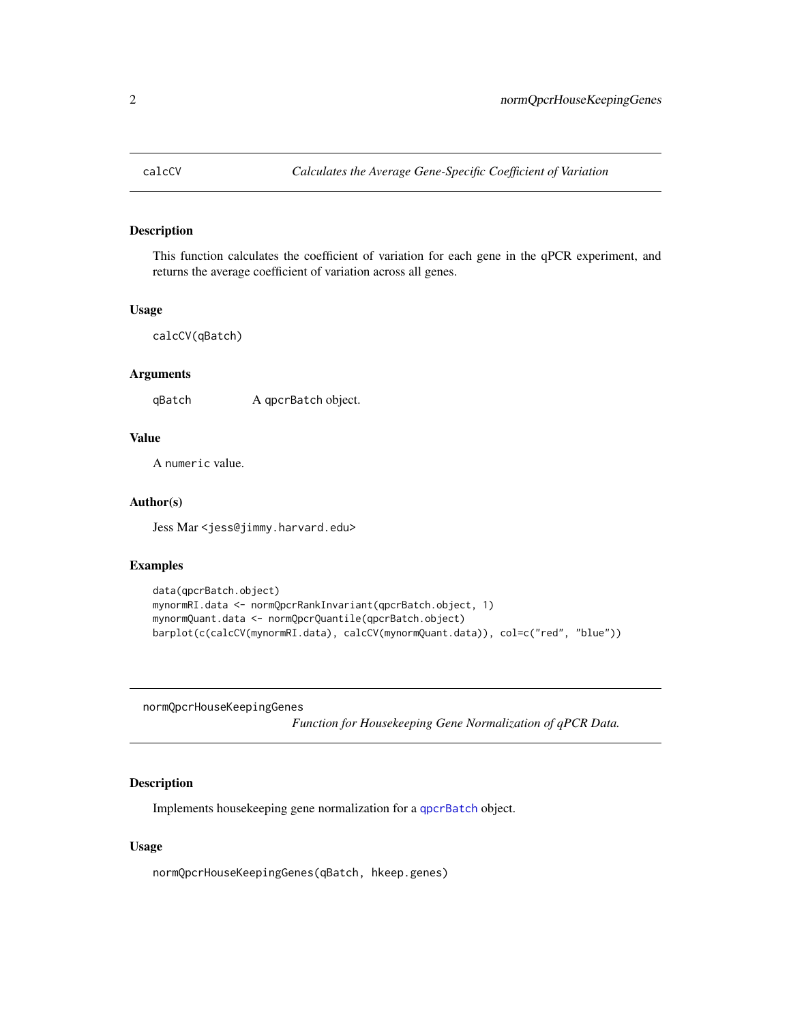<span id="page-1-0"></span>

This function calculates the coefficient of variation for each gene in the qPCR experiment, and returns the average coefficient of variation across all genes.

#### Usage

```
calcCV(qBatch)
```
## **Arguments**

qBatch A qpcrBatch object.

## Value

A numeric value.

#### Author(s)

Jess Mar <jess@jimmy.harvard.edu>

#### Examples

```
data(qpcrBatch.object)
mynormRI.data <- normQpcrRankInvariant(qpcrBatch.object, 1)
mynormQuant.data <- normQpcrQuantile(qpcrBatch.object)
barplot(c(calcCV(mynormRI.data), calcCV(mynormQuant.data)), col=c("red", "blue"))
```
normQpcrHouseKeepingGenes

*Function for Housekeeping Gene Normalization of qPCR Data.*

## Description

Implements housekeeping gene normalization for a [qpcrBatch](#page-6-1) object.

## Usage

normQpcrHouseKeepingGenes(qBatch, hkeep.genes)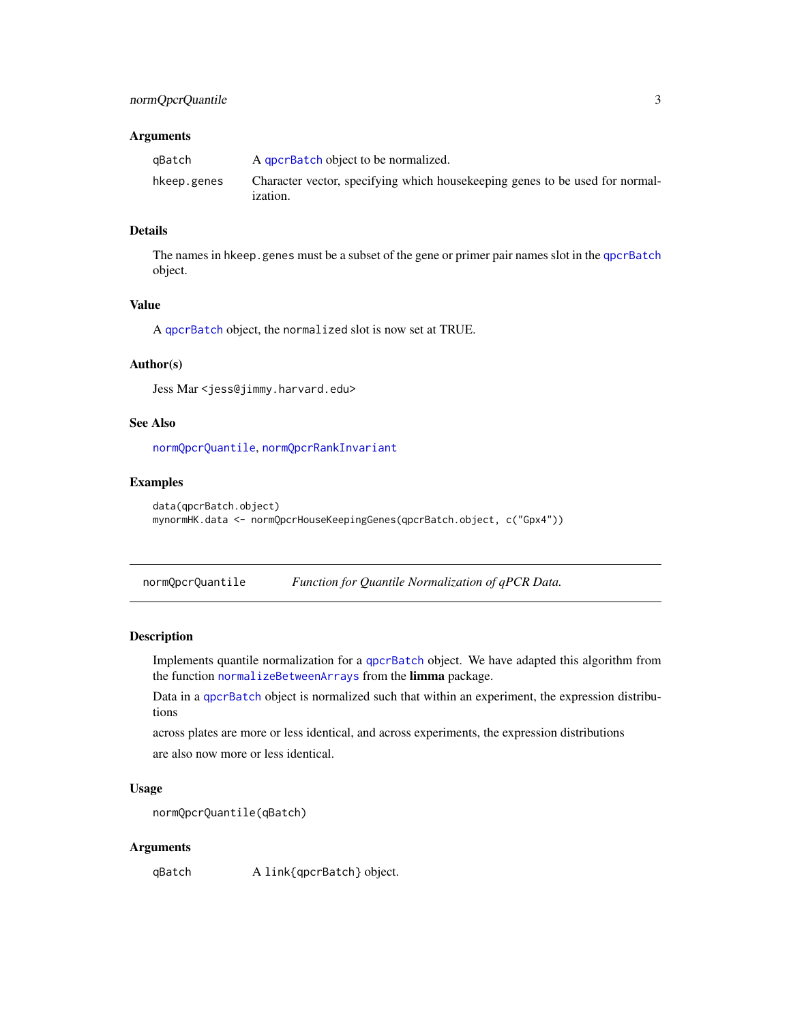## <span id="page-2-0"></span>Arguments

| aBatch      | A government object to be normalized.                                                            |
|-------------|--------------------------------------------------------------------------------------------------|
| hkeep.genes | Character vector, specifying which house keeping genes to be used for normal-<br><i>ization.</i> |

## Details

The names in hkeep.genes must be a subset of the gene or primer pair names slot in the [qpcrBatch](#page-6-1) object.

## Value

A [qpcrBatch](#page-6-1) object, the normalized slot is now set at TRUE.

#### Author(s)

Jess Mar <jess@jimmy.harvard.edu>

## See Also

[normQpcrQuantile](#page-2-1), [normQpcrRankInvariant](#page-3-1)

## Examples

```
data(qpcrBatch.object)
mynormHK.data <- normQpcrHouseKeepingGenes(qpcrBatch.object, c("Gpx4"))
```
<span id="page-2-1"></span>normQpcrQuantile *Function for Quantile Normalization of qPCR Data.*

## Description

Implements quantile normalization for a [qpcrBatch](#page-6-1) object. We have adapted this algorithm from the function [normalizeBetweenArrays](#page-0-0) from the limma package.

Data in a [qpcrBatch](#page-6-1) object is normalized such that within an experiment, the expression distributions

across plates are more or less identical, and across experiments, the expression distributions are also now more or less identical.

## Usage

```
normQpcrQuantile(qBatch)
```
#### Arguments

qBatch A link{qpcrBatch} object.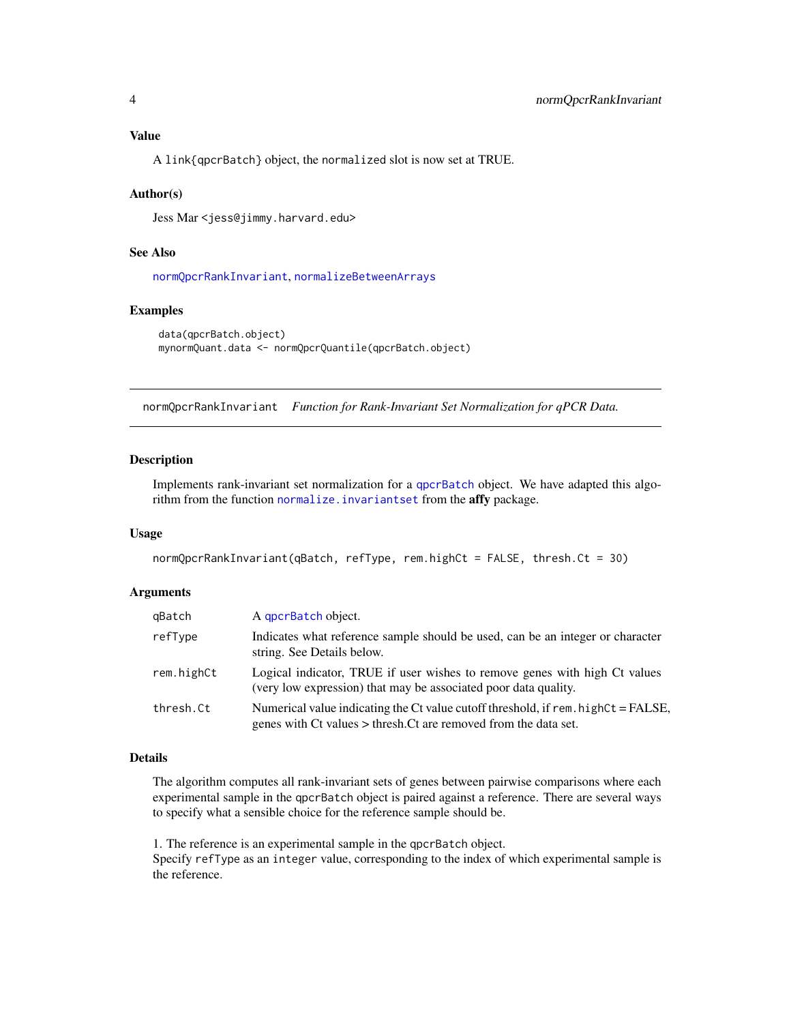## <span id="page-3-0"></span>Value

A link{qpcrBatch} object, the normalized slot is now set at TRUE.

#### Author(s)

Jess Mar <jess@jimmy.harvard.edu>

## See Also

[normQpcrRankInvariant](#page-3-1), [normalizeBetweenArrays](#page-0-0)

#### Examples

```
data(qpcrBatch.object)
mynormQuant.data <- normQpcrQuantile(qpcrBatch.object)
```
<span id="page-3-1"></span>normQpcrRankInvariant *Function for Rank-Invariant Set Normalization for qPCR Data.*

#### **Description**

Implements rank-invariant set normalization for a [qpcrBatch](#page-6-1) object. We have adapted this algorithm from the function normalize. invariantset from the affy package.

## Usage

```
normQpcrRankInvariant(qBatch, refType, rem.highCt = FALSE, thresh.Ct = 30)
```
#### Arguments

| qBatch     | A gpcrBatch object.                                                                                                                                      |  |
|------------|----------------------------------------------------------------------------------------------------------------------------------------------------------|--|
| refType    | Indicates what reference sample should be used, can be an integer or character<br>string. See Details below.                                             |  |
| rem.highCt | Logical indicator, TRUE if user wishes to remove genes with high Ct values<br>(very low expression) that may be associated poor data quality.            |  |
| thresh.Ct  | Numerical value indicating the Ct value cutoff threshold, if $rem. highCt = FALSE$ ,<br>genes with Ct values > thresh. Ct are removed from the data set. |  |

#### Details

The algorithm computes all rank-invariant sets of genes between pairwise comparisons where each experimental sample in the qpcrBatch object is paired against a reference. There are several ways to specify what a sensible choice for the reference sample should be.

1. The reference is an experimental sample in the qpcrBatch object. Specify refType as an integer value, corresponding to the index of which experimental sample is the reference.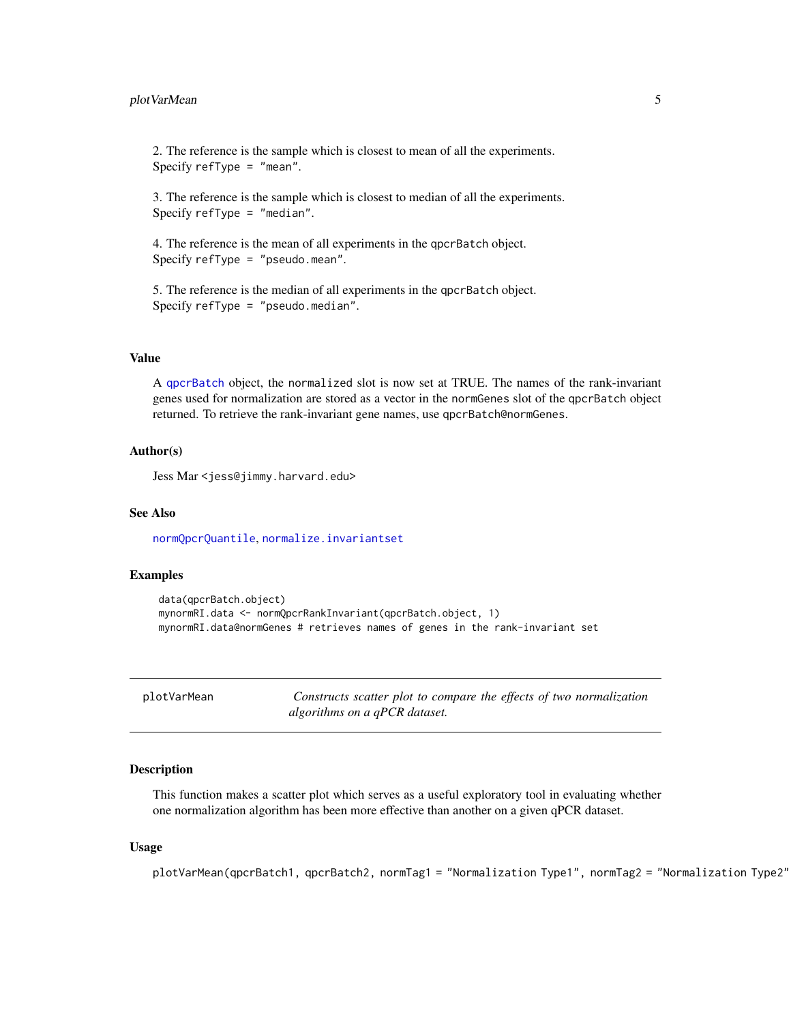<span id="page-4-0"></span>2. The reference is the sample which is closest to mean of all the experiments. Specify  $refType = "mean".$ 

3. The reference is the sample which is closest to median of all the experiments. Specify refType = "median".

4. The reference is the mean of all experiments in the qpcrBatch object. Specify refType = "pseudo.mean".

5. The reference is the median of all experiments in the qpcrBatch object. Specify refType = "pseudo.median".

#### Value

A [qpcrBatch](#page-6-1) object, the normalized slot is now set at TRUE. The names of the rank-invariant genes used for normalization are stored as a vector in the normGenes slot of the qpcrBatch object returned. To retrieve the rank-invariant gene names, use qpcrBatch@normGenes.

### Author(s)

Jess Mar <jess@jimmy.harvard.edu>

## See Also

[normQpcrQuantile](#page-2-1), [normalize.invariantset](#page-0-0)

## Examples

```
data(qpcrBatch.object)
mynormRI.data <- normQpcrRankInvariant(qpcrBatch.object, 1)
mynormRI.data@normGenes # retrieves names of genes in the rank-invariant set
```
plotVarMean *Constructs scatter plot to compare the effects of two normalization algorithms on a qPCR dataset.*

#### Description

This function makes a scatter plot which serves as a useful exploratory tool in evaluating whether one normalization algorithm has been more effective than another on a given qPCR dataset.

#### Usage

plotVarMean(qpcrBatch1, qpcrBatch2, normTag1 = "Normalization Type1", normTag2 = "Normalization Type2"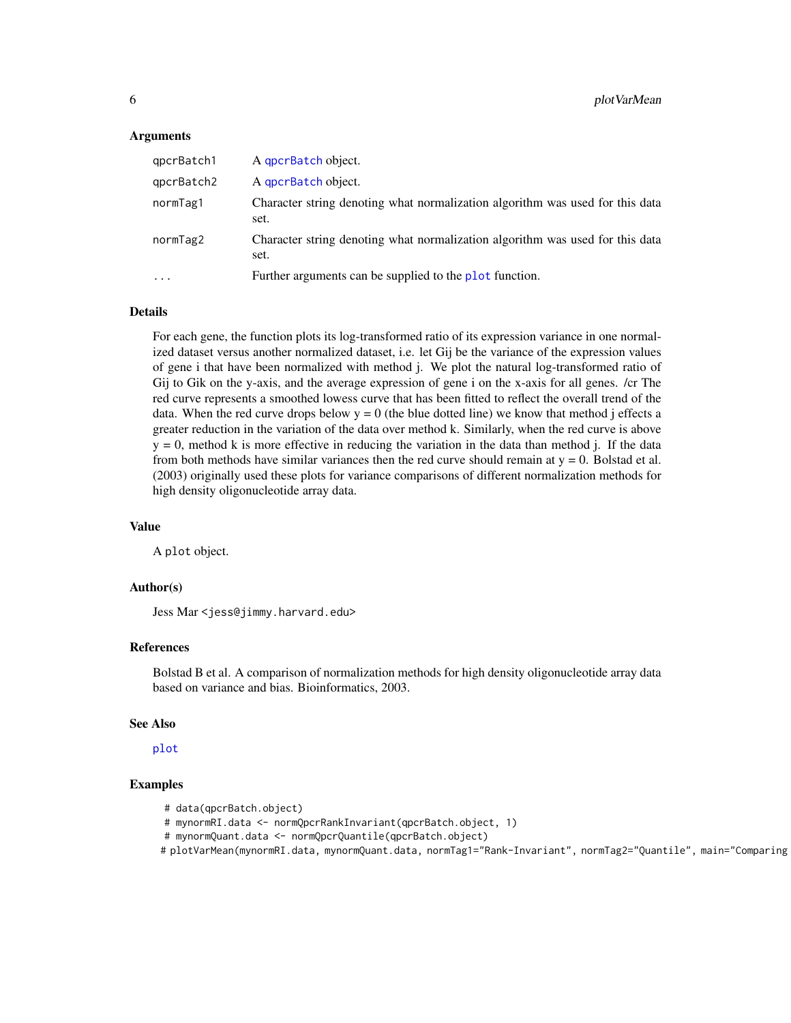#### Arguments

| qpcrBatch1           | A gpcrBatch object.                                                                   |
|----------------------|---------------------------------------------------------------------------------------|
| qpcrBatch2           | A gpcrBatch object.                                                                   |
| normTag1             | Character string denoting what normalization algorithm was used for this data<br>set. |
| normTag2             | Character string denoting what normalization algorithm was used for this data<br>set. |
| $\ddot{\phantom{0}}$ | Further arguments can be supplied to the plot function.                               |
|                      |                                                                                       |

## Details

For each gene, the function plots its log-transformed ratio of its expression variance in one normalized dataset versus another normalized dataset, i.e. let Gij be the variance of the expression values of gene i that have been normalized with method j. We plot the natural log-transformed ratio of Gij to Gik on the y-axis, and the average expression of gene i on the x-axis for all genes. /cr The red curve represents a smoothed lowess curve that has been fitted to reflect the overall trend of the data. When the red curve drops below  $y = 0$  (the blue dotted line) we know that method j effects a greater reduction in the variation of the data over method k. Similarly, when the red curve is above  $y = 0$ , method k is more effective in reducing the variation in the data than method j. If the data from both methods have similar variances then the red curve should remain at  $y = 0$ . Bolstad et al. (2003) originally used these plots for variance comparisons of different normalization methods for high density oligonucleotide array data.

## Value

A plot object.

#### Author(s)

Jess Mar <jess@jimmy.harvard.edu>

#### References

Bolstad B et al. A comparison of normalization methods for high density oligonucleotide array data based on variance and bias. Bioinformatics, 2003.

## See Also

[plot](#page-0-0)

#### Examples

- # data(qpcrBatch.object)
- # mynormRI.data <- normQpcrRankInvariant(qpcrBatch.object, 1)
- # mynormQuant.data <- normQpcrQuantile(qpcrBatch.object)
- # plotVarMean(mynormRI.data, mynormQuant.data, normTag1="Rank-Invariant", normTag2="Quantile", main="Comparing Two Data-driven Methods")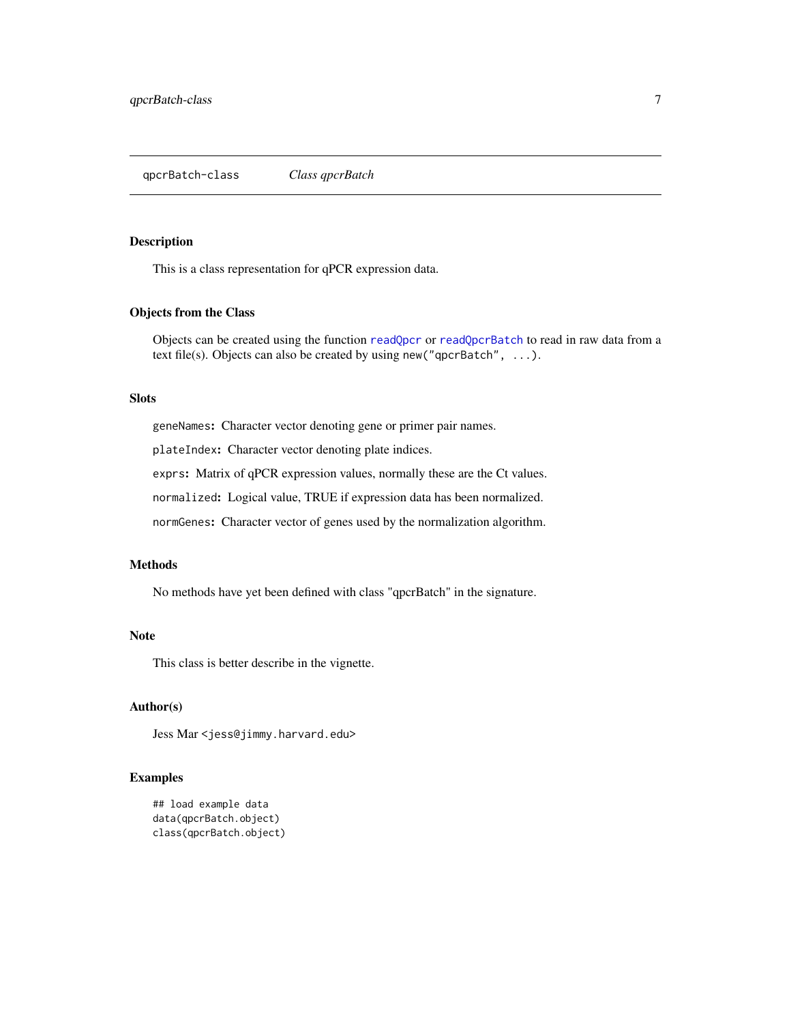<span id="page-6-1"></span><span id="page-6-0"></span>This is a class representation for qPCR expression data.

## Objects from the Class

Objects can be created using the function [readQpcr](#page-7-1) or [readQpcrBatch](#page-9-1) to read in raw data from a text file(s). Objects can also be created by using new("qpcrBatch", ...).

## Slots

geneNames: Character vector denoting gene or primer pair names.

plateIndex: Character vector denoting plate indices.

exprs: Matrix of qPCR expression values, normally these are the Ct values.

normalized: Logical value, TRUE if expression data has been normalized.

normGenes: Character vector of genes used by the normalization algorithm.

#### Methods

No methods have yet been defined with class "qpcrBatch" in the signature.

## Note

This class is better describe in the vignette.

## Author(s)

Jess Mar <jess@jimmy.harvard.edu>

#### Examples

```
## load example data
data(qpcrBatch.object)
class(qpcrBatch.object)
```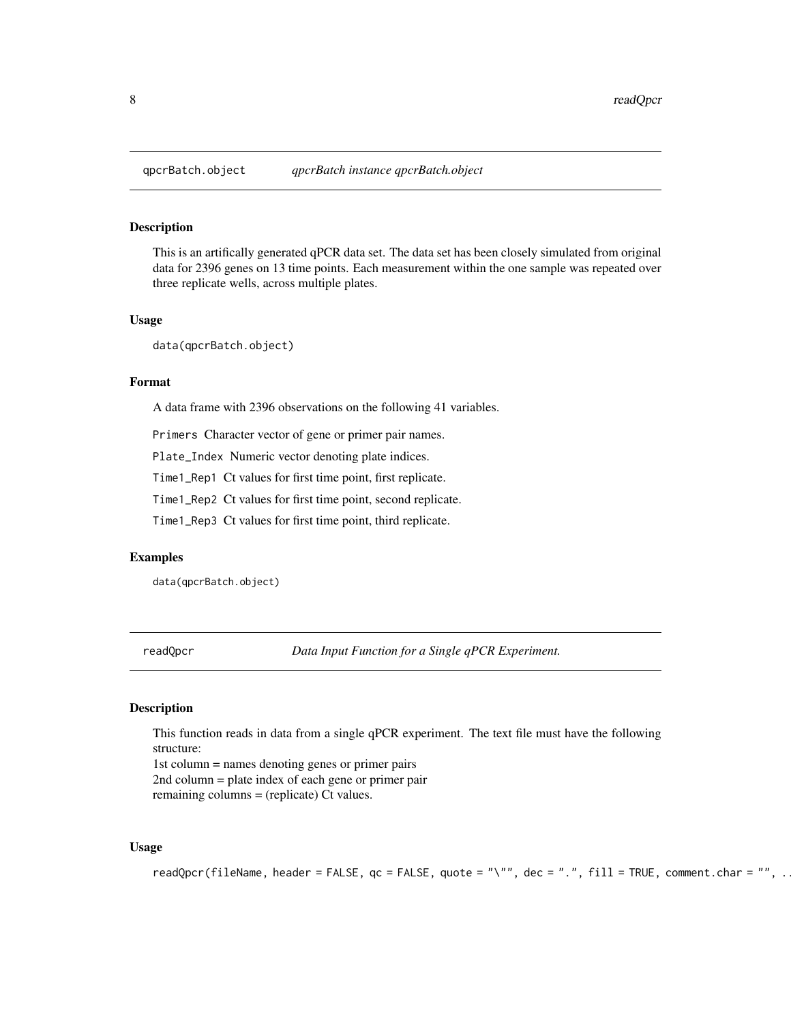<span id="page-7-0"></span>

This is an artifically generated qPCR data set. The data set has been closely simulated from original data for 2396 genes on 13 time points. Each measurement within the one sample was repeated over three replicate wells, across multiple plates.

#### Usage

data(qpcrBatch.object)

#### Format

A data frame with 2396 observations on the following 41 variables.

Primers Character vector of gene or primer pair names.

Plate\_Index Numeric vector denoting plate indices.

Time1\_Rep1 Ct values for first time point, first replicate.

Time1\_Rep2 Ct values for first time point, second replicate.

Time1\_Rep3 Ct values for first time point, third replicate.

#### Examples

data(qpcrBatch.object)

<span id="page-7-1"></span>readQpcr *Data Input Function for a Single qPCR Experiment.*

#### Description

This function reads in data from a single qPCR experiment. The text file must have the following structure:

1st column = names denoting genes or primer pairs 2nd column = plate index of each gene or primer pair remaining columns = (replicate) Ct values.

#### Usage

```
readQpcr(fileName, header = FALSE, qc = FALSE, quote = "\"", dec = ".", fill = TRUE, comment.char = "", .
```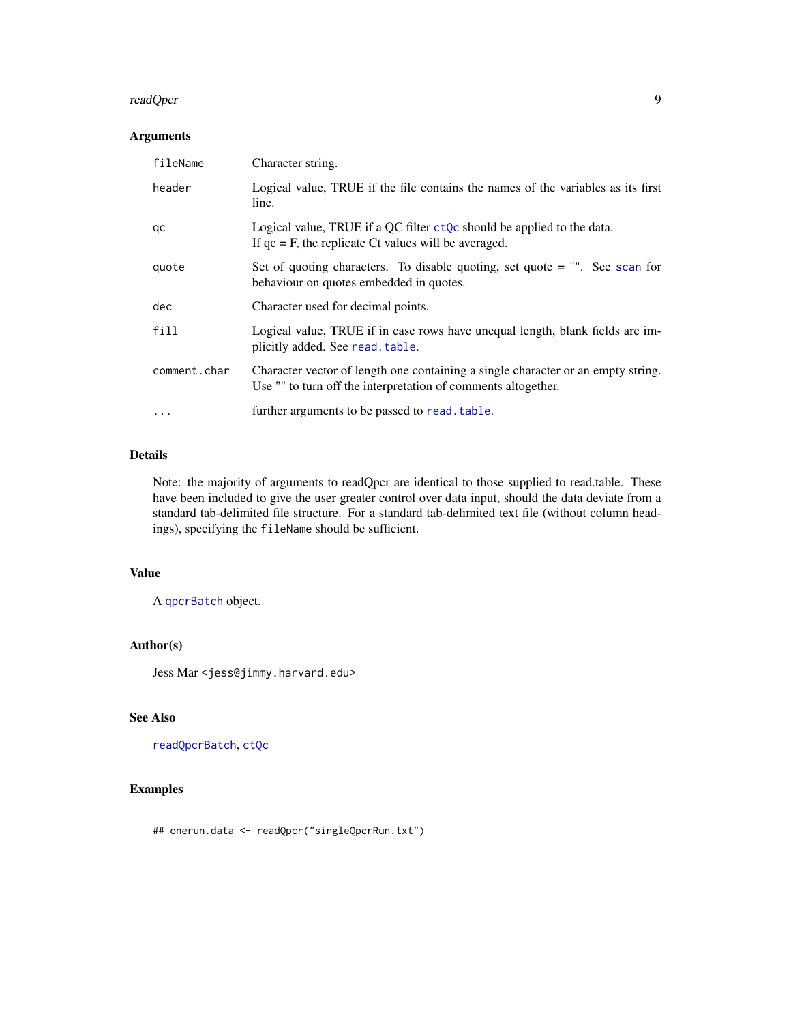#### readQpcr 99 and 200 million and 200 million and 200 million and 200 million and 200 million and 200 million and 200 million and 200 million and 200 million and 200 million and 200 million and 200 million and 200 million an

## Arguments

| fileName     | Character string.                                                                                                                                 |
|--------------|---------------------------------------------------------------------------------------------------------------------------------------------------|
| header       | Logical value, TRUE if the file contains the names of the variables as its first<br>line.                                                         |
| qc           | Logical value, TRUE if a QC filter $ctQc$ should be applied to the data.<br>If $qc = F$ , the replicate Ct values will be averaged.               |
| quote        | Set of quoting characters. To disable quoting, set quote $=$ "". See scan for<br>behaviour on quotes embedded in quotes.                          |
| dec          | Character used for decimal points.                                                                                                                |
| fill         | Logical value, TRUE if in case rows have unequal length, blank fields are im-<br>plicitly added. See read. table.                                 |
| comment.char | Character vector of length one containing a single character or an empty string.<br>Use "" to turn off the interpretation of comments altogether. |
| $\cdots$     | further arguments to be passed to read. table.                                                                                                    |

## Details

Note: the majority of arguments to readQpcr are identical to those supplied to read.table. These have been included to give the user greater control over data input, should the data deviate from a standard tab-delimited file structure. For a standard tab-delimited text file (without column headings), specifying the fileName should be sufficient.

## Value

A [qpcrBatch](#page-6-1) object.

## Author(s)

Jess Mar <jess@jimmy.harvard.edu>

## See Also

[readQpcrBatch](#page-9-1), [ctQc](#page-0-0)

## Examples

## onerun.data <- readQpcr("singleQpcrRun.txt")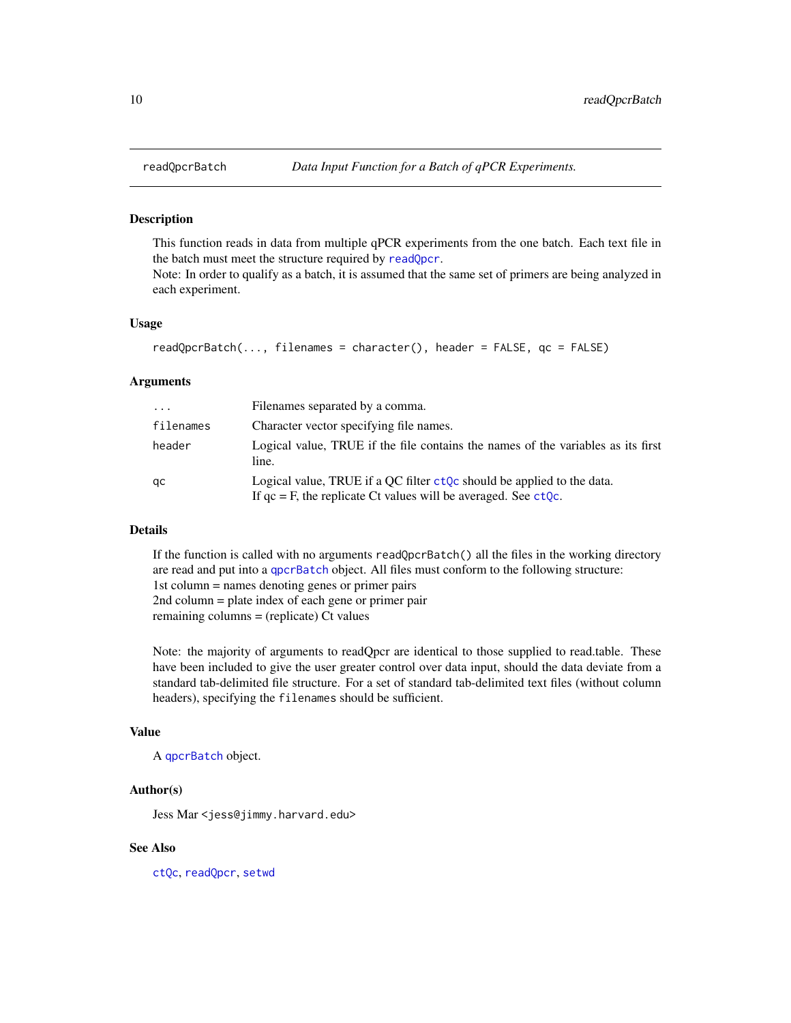<span id="page-9-1"></span><span id="page-9-0"></span>

This function reads in data from multiple qPCR experiments from the one batch. Each text file in the batch must meet the structure required by [readQpcr](#page-7-1).

Note: In order to qualify as a batch, it is assumed that the same set of primers are being analyzed in each experiment.

#### Usage

```
readQpcrBatch(..., filenames = character(), header = FALSE, qc = FALSE)
```
#### Arguments

| $\cdot \cdot \cdot$ | Filenames separated by a comma.                                                                                                                  |
|---------------------|--------------------------------------------------------------------------------------------------------------------------------------------------|
| filenames           | Character vector specifying file names.                                                                                                          |
| header              | Logical value. TRUE if the file contains the names of the variables as its first<br>line.                                                        |
| qc                  | Logical value, TRUE if a QC filter $ctQc$ should be applied to the data.<br>If $qc = F$ , the replicate Ct values will be averaged. See $ctQc$ . |

## Details

If the function is called with no arguments readQpcrBatch() all the files in the working directory are read and put into a [qpcrBatch](#page-6-1) object. All files must conform to the following structure: 1st column = names denoting genes or primer pairs 2nd column = plate index of each gene or primer pair remaining columns = (replicate) Ct values

Note: the majority of arguments to readQpcr are identical to those supplied to read.table. These have been included to give the user greater control over data input, should the data deviate from a standard tab-delimited file structure. For a set of standard tab-delimited text files (without column headers), specifying the filenames should be sufficient.

## Value

A [qpcrBatch](#page-6-1) object.

## Author(s)

Jess Mar <jess@jimmy.harvard.edu>

#### See Also

[ctQc](#page-0-0), [readQpcr](#page-7-1), [setwd](#page-0-0)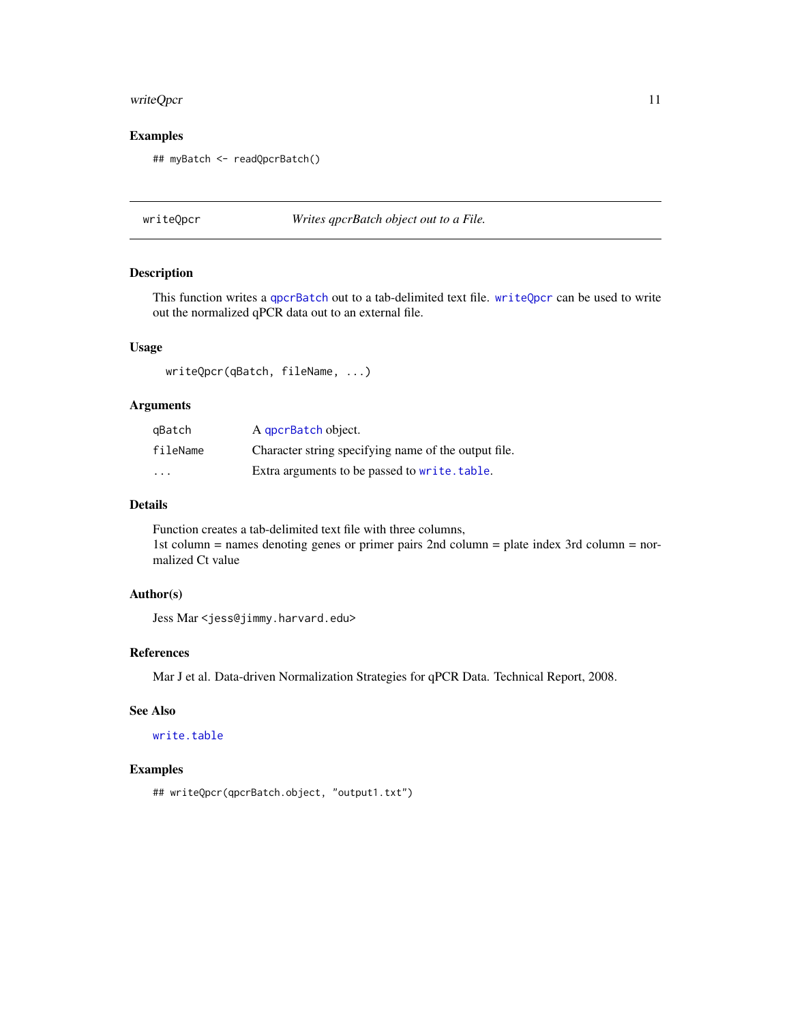#### <span id="page-10-0"></span>writeQpcr 11

## Examples

```
## myBatch <- readQpcrBatch()
```
<span id="page-10-1"></span>writeQpcr *Writes qpcrBatch object out to a File.*

#### Description

This function writes a [qpcrBatch](#page-6-1) out to a tab-delimited text file. [writeQpcr](#page-10-1) can be used to write out the normalized qPCR data out to an external file.

## Usage

writeQpcr(qBatch, fileName, ...)

## Arguments

| qBatch                  | A gpcrBatch object.                                  |
|-------------------------|------------------------------------------------------|
| fileName                | Character string specifying name of the output file. |
| $\cdot$ $\cdot$ $\cdot$ | Extra arguments to be passed to write, table.        |

## Details

Function creates a tab-delimited text file with three columns, 1st column = names denoting genes or primer pairs 2nd column = plate index 3rd column = normalized Ct value

## Author(s)

Jess Mar <jess@jimmy.harvard.edu>

## References

Mar J et al. Data-driven Normalization Strategies for qPCR Data. Technical Report, 2008.

## See Also

[write.table](#page-0-0)

#### Examples

## writeQpcr(qpcrBatch.object, "output1.txt")